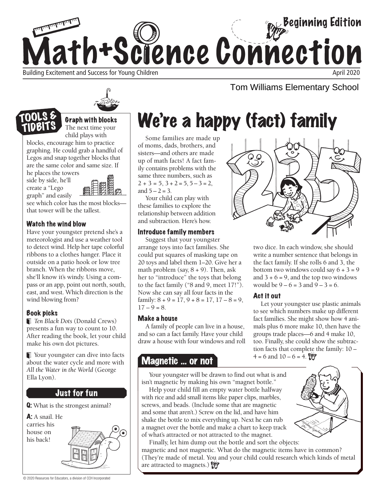

## Tom Williams Elementary School



**Graph with blocks**<br>The next time your child plays with

blocks, encourage him to practice graphing. He could grab a handful of Legos and snap together blocks that are the same color and same size. If he places the towers

side by side, he'll create a "Lego graph" and easily

TOOLS & TIDBIT



see which color has the most blocks that tower will be the tallest.

### Watch the wind blow

Have your youngster pretend she's a meteorologist and use a weather tool to detect wind. Help her tape colorful ribbons to a clothes hanger. Place it outside on a patio hook or low tree branch. When the ribbons move, she'll know it's windy. Using a compass or an app, point out north, south, east, and west. Which direction is the wind blowing from?

### Book picks

*Ten Black Dots* (Donald Crews) presents a fun way to count to 10. After reading the book, let your child make his own dot pictures.

Vour youngster can dive into facts about the water cycle and more with *All the Water in the World* (George Ella Lyon).

## Just for fun

Q: What is the strongest animal?

A: A snail. He carries his house on his back!



## We're a happy (fact) family

Some families are made up of moms, dads, brothers, and sisters—and others are made up of math facts! A fact family contains problems with the same three numbers, such as  $2 + 3 = 5$ ,  $3 + 2 = 5$ ,  $5 - 3 = 2$ , and  $5 - 2 = 3$ .

Your child can play with these families to explore the relationship between addition and subtraction. Here's how.

### Introduce family members

Suggest that your youngster arrange toys into fact families. She could put squares of masking tape on 20 toys and label them 1–20. Give her a math problem (say,  $8 + 9$ ). Then, ask her to "introduce" the toys that belong to the fact family ("8 and 9, meet 17!"). Now she can say all four facts in the family:  $8 + 9 = 17, 9 + 8 = 17, 17 - 8 = 9$ ,  $17 - 9 = 8.$ 

### Make a house

A family of people can live in a house, and so can a fact family. Have your child draw a house with four windows and roll

## **Magnetic ... or not**  $4 = 6$  and  $10 - 6 = 4$ .

Your youngster will be drawn to find out what is and isn't magnetic by making his own "magnet bottle."

Help your child fill an empty water bottle halfway with rice and add small items like paper clips, marbles, screws, and beads. (Include some that are magnetic and some that aren't.) Screw on the lid, and have him shake the bottle to mix everything up. Next he can rub a magnet over the bottle and make a chart to keep track of what's attracted or not attracted to the magnet.

Finally, let him dump out the bottle and sort the objects: magnetic and not magnetic. What do the magnetic items have in common? (They're made of metal. You and your child could research which kinds of metal are attracted to magnets.)



two dice. In each window, she should write a number sentence that belongs in the fact family. If she rolls 6 and 3, the bottom two windows could say  $6 + 3 = 9$ and  $3 + 6 = 9$ , and the top two windows would be  $9 - 6 = 3$  and  $9 - 3 = 6$ .

### Act it out

Let your youngster use plastic animals to see which numbers make up different fact families. She might show how 4 animals plus 6 more make 10, then have the groups trade places—6 and 4 make 10, too. Finally, she could show the subtraction facts that complete the family: 10 –